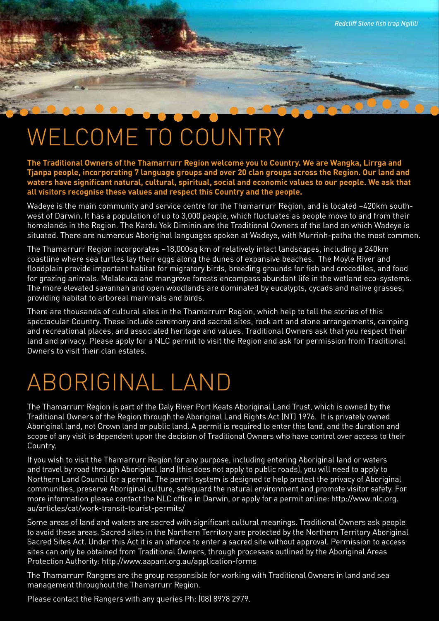## WELCOME TO COUNTRY

**The Traditional Owners of the Thamarrurr Region welcome you to Country. We are Wangka, Lirrga and Tjanpa people, incorporating 7 language groups and over 20 clan groups across the Region. Our land and waters have significant natural, cultural, spiritual, social and economic values to our people. We ask that all visitors recognise these values and respect this Country and the people.**

*Redcliff Stone fish trap Ngilili*

Wadeye is the main community and service centre for the Thamarrurr Region, and is located ~420km southwest of Darwin. It has a population of up to 3,000 people, which fluctuates as people move to and from their homelands in the Region. The Kardu Yek Diminin are the Traditional Owners of the land on which Wadeye is situated. There are numerous Aboriginal languages spoken at Wadeye, with Murrinh-patha the most common.

The Thamarrurr Region incorporates ~18,000sq km of relatively intact landscapes, including a 240km coastline where sea turtles lay their eggs along the dunes of expansive beaches. The Moyle River and floodplain provide important habitat for migratory birds, breeding grounds for fish and crocodiles, and food for grazing animals. Melaleuca and mangrove forests encompass abundant life in the wetland eco-systems. The more elevated savannah and open woodlands are dominated by eucalypts, cycads and native grasses, providing habitat to arboreal mammals and birds.

There are thousands of cultural sites in the Thamarrurr Region, which help to tell the stories of this spectacular Country. These include ceremony and sacred sites, rock art and stone arrangements, camping and recreational places, and associated heritage and values. Traditional Owners ask that you respect their land and privacy. Please apply for a NLC permit to visit the Region and ask for permission from Traditional Owners to visit their clan estates.

### Aboriginal Land

The Thamarrurr Region is part of the Daly River Port Keats Aboriginal Land Trust, which is owned by the Traditional Owners of the Region through the Aboriginal Land Rights Act (NT) 1976. It is privately owned Aboriginal land, not Crown land or public land. A permit is required to enter this land, and the duration and scope of any visit is dependent upon the decision of Traditional Owners who have control over access to their Country.

If you wish to visit the Thamarrurr Region for any purpose, including entering Aboriginal land or waters and travel by road through Aboriginal land (this does not apply to public roads), you will need to apply to Northern Land Council for a permit. The permit system is designed to help protect the privacy of Aboriginal communities, preserve Aboriginal culture, safeguard the natural environment and promote visitor safety. For more information please contact the NLC office in Darwin, or apply for a permit online: http://www.nlc.org. au/articles/cat/work-transit-tourist-permits/

Some areas of land and waters are sacred with significant cultural meanings. Traditional Owners ask people to avoid these areas. Sacred sites in the Northern Territory are protected by the Northern Territory Aboriginal Sacred Sites Act. Under this Act it is an offence to enter a sacred site without approval. Permission to access sites can only be obtained from Traditional Owners, through processes outlined by the Aboriginal Areas Protection Authority: http://www.aapant.org.au/application-forms

The Thamarrurr Rangers are the group responsible for working with Traditional Owners in land and sea management throughout the Thamarrurr Region.

Please contact the Rangers with any queries Ph: (08) 8978 2979.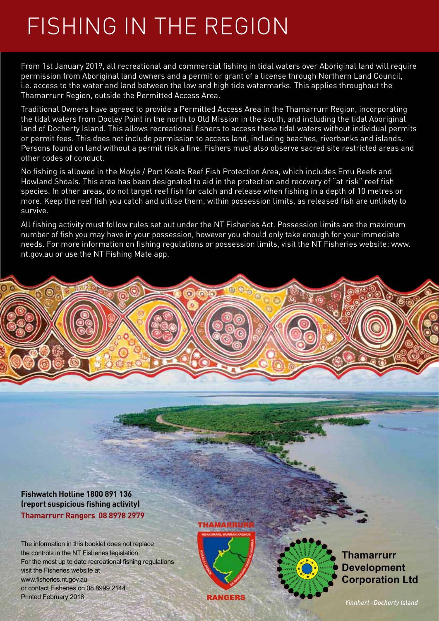### Fishing in the Region

From 1st January 2019, all recreational and commercial fishing in tidal waters over Aboriginal land will require permission from Aboriginal land owners and a permit or grant of a license through Northern Land Council, i.e. access to the water and land between the low and high tide watermarks. This applies throughout the Thamarrurr Region, outside the Permitted Access Area.

Traditional Owners have agreed to provide a Permitted Access Area in the Thamarrurr Region, incorporating the tidal waters from Dooley Point in the north to Old Mission in the south, and including the tidal Aboriginal land of Docherty Island. This allows recreational fishers to access these tidal waters without individual permits or permit fees. This does not include permission to access land, including beaches, riverbanks and islands. Persons found on land without a permit risk a fine. Fishers must also observe sacred site restricted areas and other codes of conduct.

No fishing is allowed in the Moyle / Port Keats Reef Fish Protection Area, which includes Emu Reefs and Howland Shoals. This area has been designated to aid in the protection and recovery of "at risk" reef fish species. In other areas, do not target reef fish for catch and release when fishing in a depth of 10 metres or more. Keep the reef fish you catch and utilise them, within possession limits, as released fish are unlikely to survive.

All fishing activity must follow rules set out under the NT Fisheries Act. Possession limits are the maximum number of fish you may have in your possession, however you should only take enough for your immediate needs. For more information on fishing regulations or possession limits, visit the NT Fisheries website: www. nt.gov.au or use the NT Fishing Mate app.

**Fishwatch Hotline 1800 891 136 (report suspicious fishing activity) Thamarrurr Rangers 08 8978 2979** 

The information in this booklet does not replace the controls in the NT Fisheries legislation. For the most up to date recreational fishing regulations visit the Fisheries website at www.fisheries.nt.gov.au or contact Fisheries on 08 8999 2144 Printed February 2018

### **THAMARRU**



**Thamarrurr Development Corporation Ltd**

*Yinnhert -Docherty Island*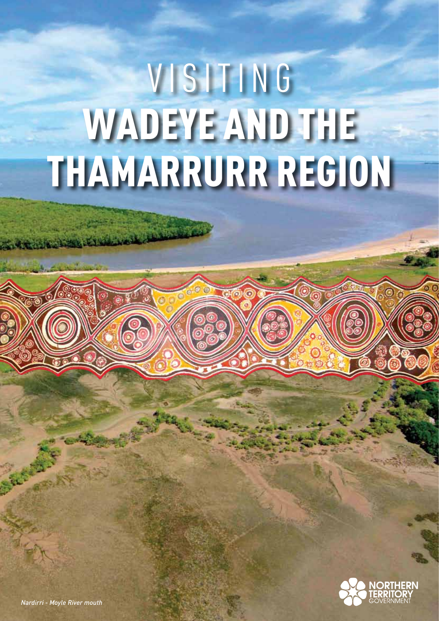# VISITING WADEYE AND THE Thamarrurr Region

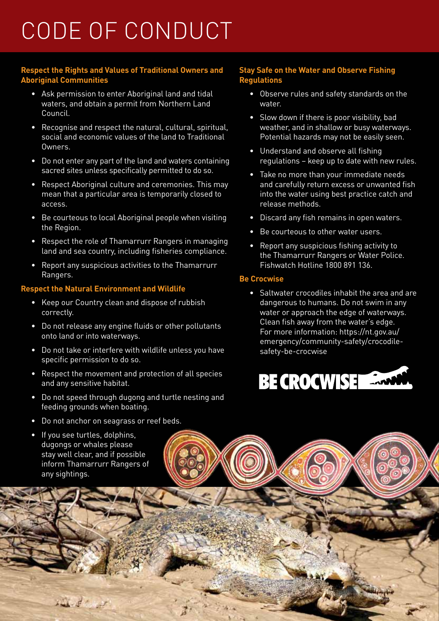### Code of Conduct

### **Respect the Rights and Values of Traditional Owners and Aboriginal Communities**

- Ask permission to enter Aboriginal land and tidal waters, and obtain a permit from Northern Land Council.
- Recognise and respect the natural, cultural, spiritual, social and economic values of the land to Traditional Owners.
- • Do not enter any part of the land and waters containing sacred sites unless specifically permitted to do so.
- • Respect Aboriginal culture and ceremonies. This may mean that a particular area is temporarily closed to access.
- Be courteous to local Aboriginal people when visiting the Region.
- Respect the role of Thamarrurr Rangers in managing land and sea country, including fisheries compliance.
- • Report any suspicious activities to the Thamarrurr Rangers.

### **Respect the Natural Environment and Wildlife**

- Keep our Country clean and dispose of rubbish correctly.
- • Do not release any engine fluids or other pollutants onto land or into waterways.
- • Do not take or interfere with wildlife unless you have specific permission to do so.
- • Respect the movement and protection of all species and any sensitive habitat.
- • Do not speed through dugong and turtle nesting and feeding grounds when boating.
- • Do not anchor on seagrass or reef beds.
- If you see turtles, dolphins, dugongs or whales please stay well clear, and if possible inform Thamarrurr Rangers of any sightings.

in de a

#### **Stay Safe on the Water and Observe Fishing Regulations**

- • Observe rules and safety standards on the water.
- Slow down if there is poor visibility, bad weather, and in shallow or busy waterways. Potential hazards may not be easily seen.
- Understand and observe all fishing regulations – keep up to date with new rules.
- • Take no more than your immediate needs and carefully return excess or unwanted fish into the water using best practice catch and release methods.
- • Discard any fish remains in open waters.
- Be courteous to other water users.
- Report any suspicious fishing activity to the Thamarrurr Rangers or Water Police. Fishwatch Hotline 1800 891 136.

### **Be Crocwise**

• Saltwater crocodiles inhabit the area and are dangerous to humans. Do not swim in any water or approach the edge of waterways. Clean fish away from the water's edge. For more information: https://nt.gov.au/ emergency/community-safety/crocodilesafety-be-crocwise

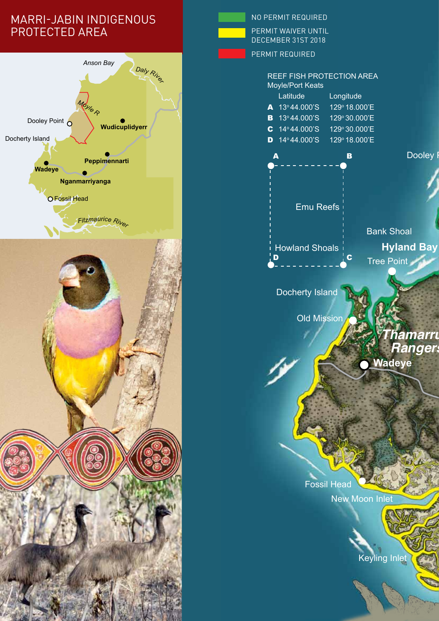